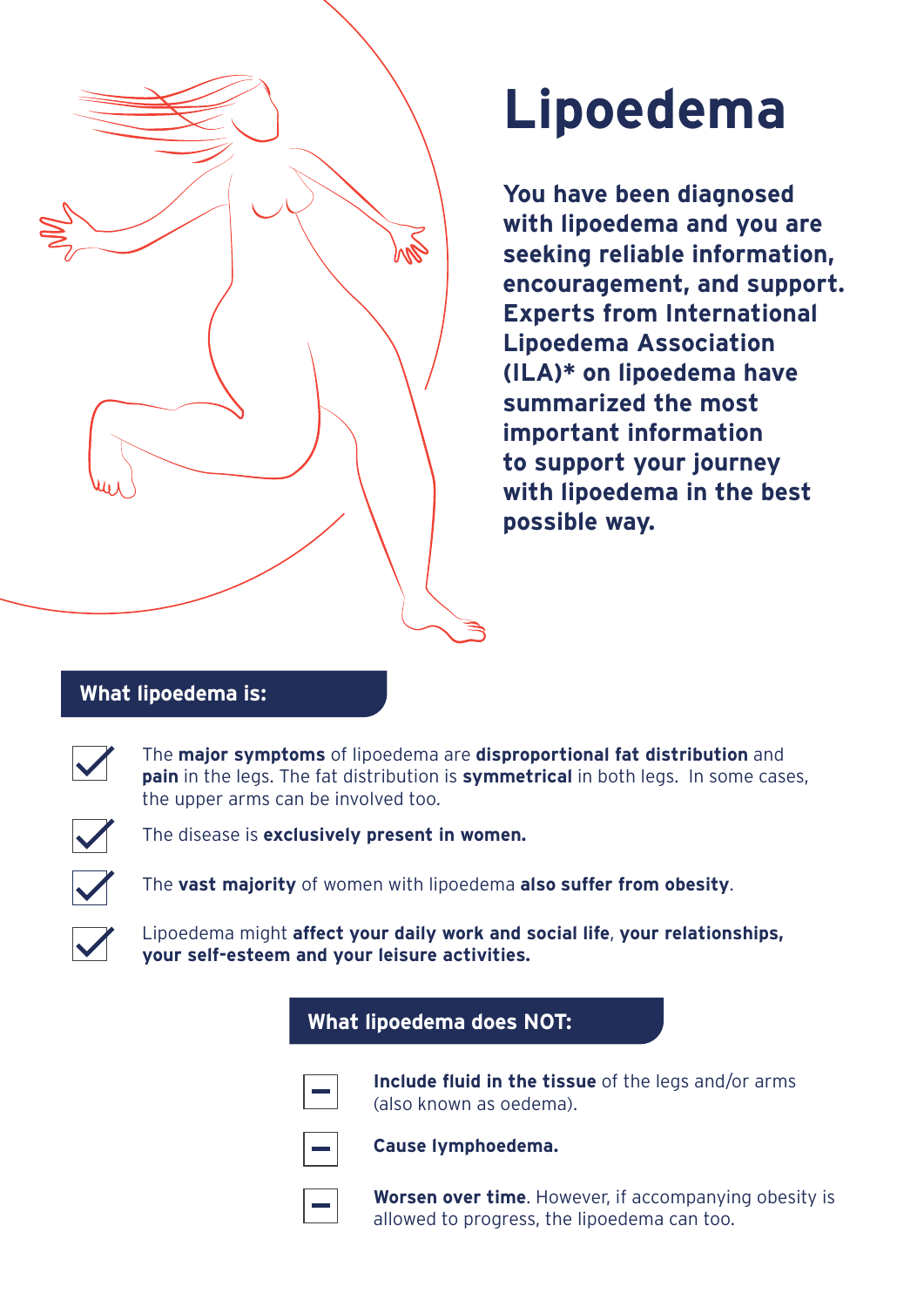

## **Lipoedema**

**You have been diagnosed with lipoedema and you are seeking reliable information, encouragement, and support. Experts from International Lipoedema Association (ILA)\* on lipoedema have summarized the most important information to support your journey with lipoedema in the best possible way.**

## **What lipoedema is:**

The **major symptoms** of lipoedema are **disproportional fat distribution** and **pain** in the legs. The fat distribution is **symmetrical** in both legs. In some cases, the upper arms can be involved too.



The disease is **exclusively present in women.**

The **vast majority** of women with lipoedema **also suffer from obesity**.

Lipoedema might **affect your daily work and social life**, **your relationships, your self-esteem and your leisure activities.**

## **What lipoedema does NOT:**



**Include fluid in the tissue** of the legs and/or arms (also known as oedema).



**Cause lymphoedema.**

**Worsen over time**. However, if accompanying obesity is allowed to progress, the lipoedema can too.